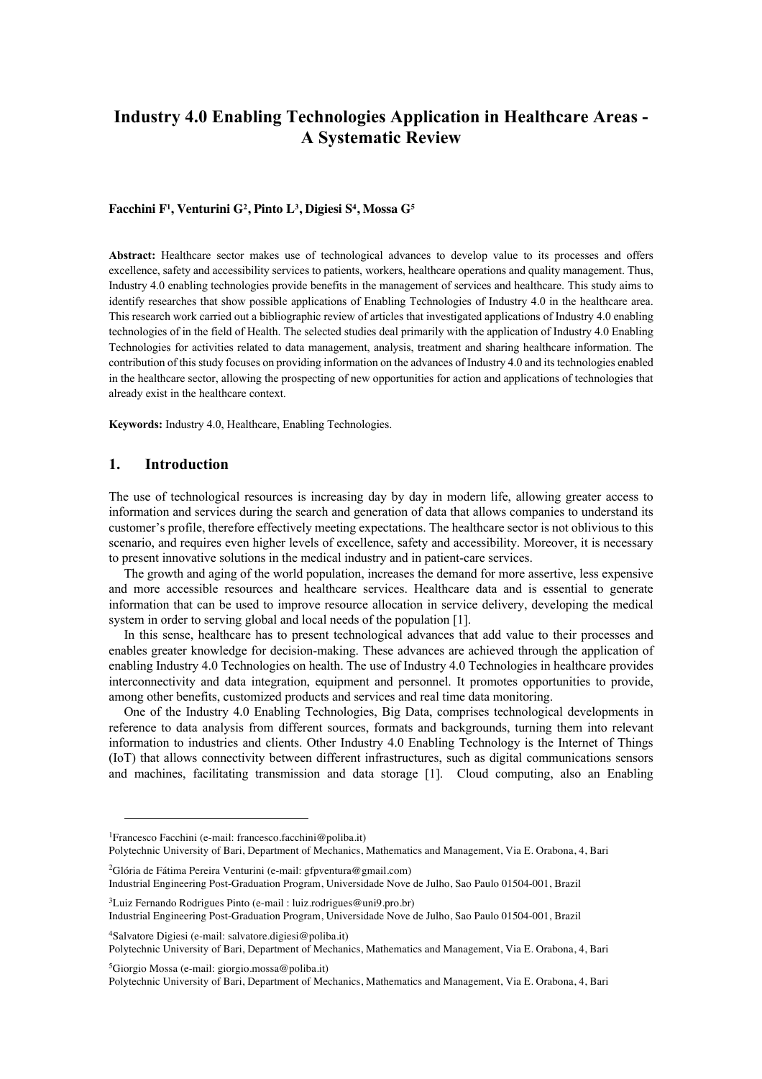# **Industry 4.0 Enabling Technologies Application in Healthcare Areas - A Systematic Review**

#### **Facchini F1 , Venturini G2 , Pinto L3 , Digiesi S4 , Mossa G5**

**Abstract:** Healthcare sector makes use of technological advances to develop value to its processes and offers excellence, safety and accessibility services to patients, workers, healthcare operations and quality management. Thus, Industry 4.0 enabling technologies provide benefits in the management of services and healthcare. This study aims to identify researches that show possible applications of Enabling Technologies of Industry 4.0 in the healthcare area. This research work carried out a bibliographic review of articles that investigated applications of Industry 4.0 enabling technologies of in the field of Health. The selected studies deal primarily with the application of Industry 4.0 Enabling Technologies for activities related to data management, analysis, treatment and sharing healthcare information. The contribution of this study focuses on providing information on the advances of Industry 4.0 and its technologies enabled in the healthcare sector, allowing the prospecting of new opportunities for action and applications of technologies that already exist in the healthcare context.

**Keywords:** Industry 4.0, Healthcare, Enabling Technologies.

## **1. Introduction**

The use of technological resources is increasing day by day in modern life, allowing greater access to information and services during the search and generation of data that allows companies to understand its customer's profile, therefore effectively meeting expectations. The healthcare sector is not oblivious to this scenario, and requires even higher levels of excellence, safety and accessibility. Moreover, it is necessary to present innovative solutions in the medical industry and in patient-care services.

The growth and aging of the world population, increases the demand for more assertive, less expensive and more accessible resources and healthcare services. Healthcare data and is essential to generate information that can be used to improve resource allocation in service delivery, developing the medical system in order to serving global and local needs of the population [1].

In this sense, healthcare has to present technological advances that add value to their processes and enables greater knowledge for decision-making. These advances are achieved through the application of enabling Industry 4.0 Technologies on health. The use of Industry 4.0 Technologies in healthcare provides interconnectivity and data integration, equipment and personnel. It promotes opportunities to provide, among other benefits, customized products and services and real time data monitoring.

One of the Industry 4.0 Enabling Technologies, Big Data, comprises technological developments in reference to data analysis from different sources, formats and backgrounds, turning them into relevant information to industries and clients. Other Industry 4.0 Enabling Technology is the Internet of Things (IoT) that allows connectivity between different infrastructures, such as digital communications sensors and machines, facilitating transmission and data storage [1]. Cloud computing, also an Enabling

Polytechnic University of Bari, Department of Mechanics, Mathematics and Management, Via E. Orabona, 4, Bari

<sup>2</sup>Glória de Fátima Pereira Venturini (e-mail: gfpventura@gmail.com)

 $4$ Salvatore Digiesi (e-mail: salvatore.digiesi@poliba.it) Polytechnic University of Bari, Department of Mechanics, Mathematics and Management, Via E. Orabona, 4, Bari

 ${}^{5}$ Giorgio Mossa (e-mail: giorgio.mossa@poliba.it)

Polytechnic University of Bari, Department of Mechanics, Mathematics and Management, Via E. Orabona, 4, Bari

<sup>&</sup>lt;sup>1</sup>Francesco Facchini (e-mail: francesco.facchini@poliba.it)

Industrial Engineering Post-Graduation Program, Universidade Nove de Julho, Sao Paulo 01504-001, Brazil

 $3$ Luiz Fernando Rodrigues Pinto (e-mail : luiz.rodrigues@uni9.pro.br)

Industrial Engineering Post-Graduation Program, Universidade Nove de Julho, Sao Paulo 01504-001, Brazil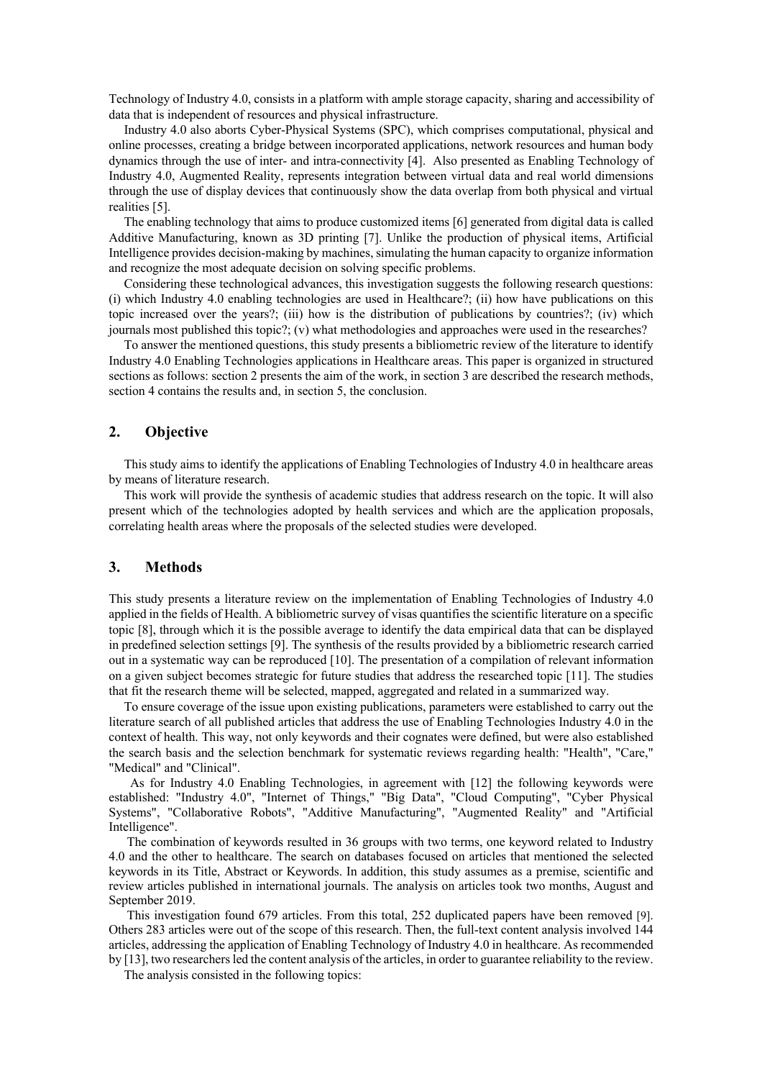Technology of Industry 4.0, consists in a platform with ample storage capacity, sharing and accessibility of data that is independent of resources and physical infrastructure.

Industry 4.0 also aborts Cyber-Physical Systems (SPC), which comprises computational, physical and online processes, creating a bridge between incorporated applications, network resources and human body dynamics through the use of inter- and intra-connectivity [4]. Also presented as Enabling Technology of Industry 4.0, Augmented Reality, represents integration between virtual data and real world dimensions through the use of display devices that continuously show the data overlap from both physical and virtual realities [5].

The enabling technology that aims to produce customized items [6] generated from digital data is called Additive Manufacturing, known as 3D printing [7]. Unlike the production of physical items, Artificial Intelligence provides decision-making by machines, simulating the human capacity to organize information and recognize the most adequate decision on solving specific problems.

Considering these technological advances, this investigation suggests the following research questions: (i) which Industry 4.0 enabling technologies are used in Healthcare?; (ii) how have publications on this topic increased over the years?; (iii) how is the distribution of publications by countries?; (iv) which journals most published this topic?; (v) what methodologies and approaches were used in the researches?

To answer the mentioned questions, this study presents a bibliometric review of the literature to identify Industry 4.0 Enabling Technologies applications in Healthcare areas. This paper is organized in structured sections as follows: section 2 presents the aim of the work, in section 3 are described the research methods, section 4 contains the results and, in section 5, the conclusion.

# **2. Objective**

This study aims to identify the applications of Enabling Technologies of Industry 4.0 in healthcare areas by means of literature research.

This work will provide the synthesis of academic studies that address research on the topic. It will also present which of the technologies adopted by health services and which are the application proposals, correlating health areas where the proposals of the selected studies were developed.

## **3. Methods**

This study presents a literature review on the implementation of Enabling Technologies of Industry 4.0 applied in the fields of Health. A bibliometric survey of visas quantifies the scientific literature on a specific topic [8], through which it is the possible average to identify the data empirical data that can be displayed in predefined selection settings [9]. The synthesis of the results provided by a bibliometric research carried out in a systematic way can be reproduced [10]. The presentation of a compilation of relevant information on a given subject becomes strategic for future studies that address the researched topic [11]. The studies that fit the research theme will be selected, mapped, aggregated and related in a summarized way.

To ensure coverage of the issue upon existing publications, parameters were established to carry out the literature search of all published articles that address the use of Enabling Technologies Industry 4.0 in the context of health. This way, not only keywords and their cognates were defined, but were also established the search basis and the selection benchmark for systematic reviews regarding health: "Health", "Care," "Medical" and "Clinical".

As for Industry 4.0 Enabling Technologies, in agreement with [12] the following keywords were established: "Industry 4.0", "Internet of Things," "Big Data", "Cloud Computing", "Cyber Physical Systems", "Collaborative Robots", "Additive Manufacturing", "Augmented Reality" and "Artificial Intelligence".

The combination of keywords resulted in 36 groups with two terms, one keyword related to Industry 4.0 and the other to healthcare. The search on databases focused on articles that mentioned the selected keywords in its Title, Abstract or Keywords. In addition, this study assumes as a premise, scientific and review articles published in international journals. The analysis on articles took two months, August and September 2019.

This investigation found 679 articles. From this total, 252 duplicated papers have been removed [9]. Others 283 articles were out of the scope of this research. Then, the full-text content analysis involved 144 articles, addressing the application of Enabling Technology of Industry 4.0 in healthcare. As recommended by [13], two researchers led the content analysis of the articles, in order to guarantee reliability to the review.

The analysis consisted in the following topics: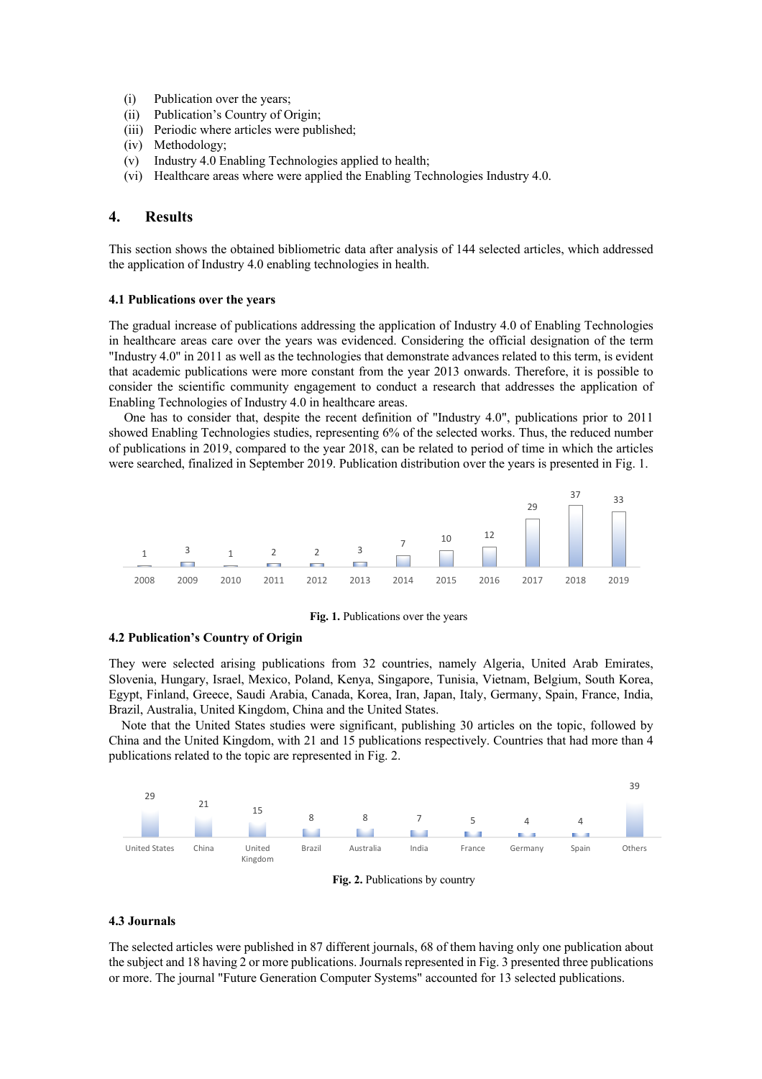- (i) Publication over the years;
- (ii) Publication's Country of Origin;
- (iii) Periodic where articles were published;
- (iv) Methodology;
- (v) Industry 4.0 Enabling Technologies applied to health;
- (vi) Healthcare areas where were applied the Enabling Technologies Industry 4.0.

# **4. Results**

This section shows the obtained bibliometric data after analysis of 144 selected articles, which addressed the application of Industry 4.0 enabling technologies in health.

#### **4.1 Publications over the years**

The gradual increase of publications addressing the application of Industry 4.0 of Enabling Technologies in healthcare areas care over the years was evidenced. Considering the official designation of the term "Industry 4.0" in 2011 as well as the technologies that demonstrate advances related to this term, is evident that academic publications were more constant from the year 2013 onwards. Therefore, it is possible to consider the scientific community engagement to conduct a research that addresses the application of Enabling Technologies of Industry 4.0 in healthcare areas.

One has to consider that, despite the recent definition of "Industry 4.0", publications prior to 2011 showed Enabling Technologies studies, representing 6% of the selected works. Thus, the reduced number of publications in 2019, compared to the year 2018, can be related to period of time in which the articles were searched, finalized in September 2019. Publication distribution over the years is presented in Fig. 1.



**Fig. 1.** Publications over the years

## **4.2 Publication's Country of Origin**

They were selected arising publications from 32 countries, namely Algeria, United Arab Emirates, Slovenia, Hungary, Israel, Mexico, Poland, Kenya, Singapore, Tunisia, Vietnam, Belgium, South Korea, Egypt, Finland, Greece, Saudi Arabia, Canada, Korea, Iran, Japan, Italy, Germany, Spain, France, India, Brazil, Australia, United Kingdom, China and the United States.

 Note that the United States studies were significant, publishing 30 articles on the topic, followed by China and the United Kingdom, with 21 and 15 publications respectively. Countries that had more than 4 publications related to the topic are represented in Fig. 2.



**Fig. 2.** Publications by country

#### **4.3 Journals**

The selected articles were published in 87 different journals, 68 of them having only one publication about the subject and 18 having 2 or more publications. Journals represented in Fig. 3 presented three publications or more. The journal "Future Generation Computer Systems" accounted for 13 selected publications.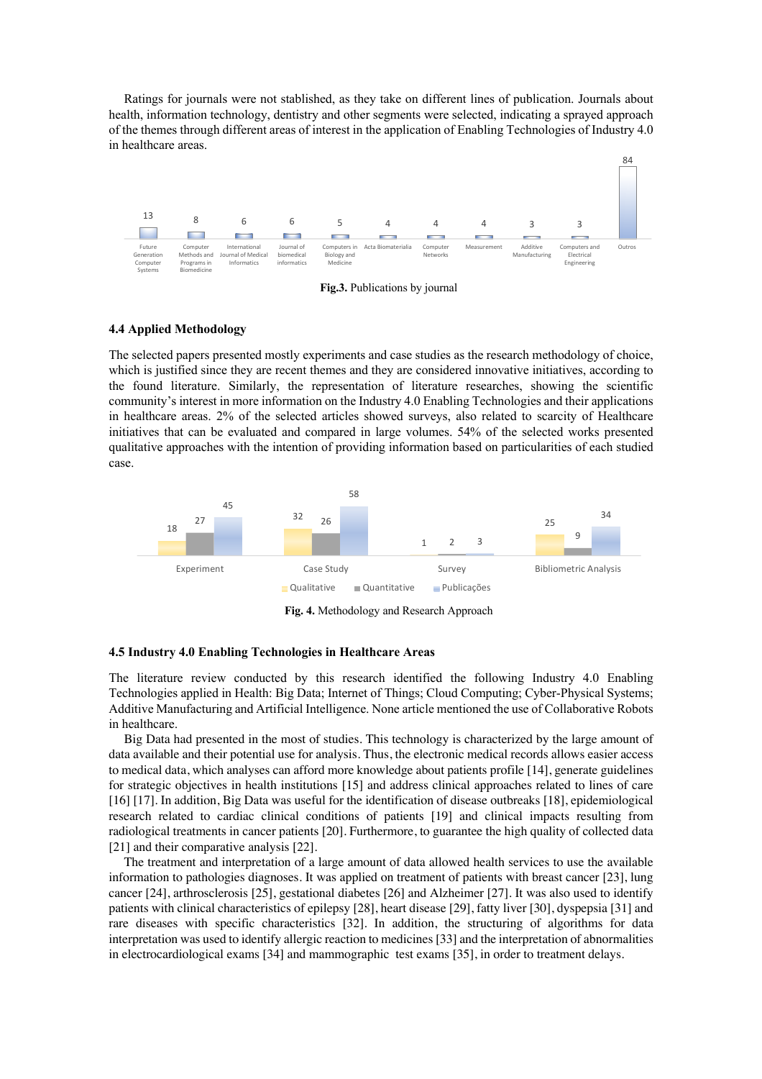Ratings for journals were not stablished, as they take on different lines of publication. Journals about health, information technology, dentistry and other segments were selected, indicating a sprayed approach of the themes through different areas of interest in the application of Enabling Technologies of Industry 4.0 in healthcare areas.



**Fig.3.** Publications by journal

#### **4.4 Applied Methodology**

The selected papers presented mostly experiments and case studies as the research methodology of choice, which is justified since they are recent themes and they are considered innovative initiatives, according to the found literature. Similarly, the representation of literature researches, showing the scientific community's interest in more information on the Industry 4.0 Enabling Technologies and their applications in healthcare areas. 2% of the selected articles showed surveys, also related to scarcity of Healthcare initiatives that can be evaluated and compared in large volumes. 54% of the selected works presented qualitative approaches with the intention of providing information based on particularities of each studied case.



**Fig. 4.** Methodology and Research Approach

#### **4.5 Industry 4.0 Enabling Technologies in Healthcare Areas**

The literature review conducted by this research identified the following Industry 4.0 Enabling Technologies applied in Health: Big Data; Internet of Things; Cloud Computing; Cyber-Physical Systems; Additive Manufacturing and Artificial Intelligence. None article mentioned the use of Collaborative Robots in healthcare.

Big Data had presented in the most of studies. This technology is characterized by the large amount of data available and their potential use for analysis. Thus, the electronic medical records allows easier access to medical data, which analyses can afford more knowledge about patients profile [14], generate guidelines for strategic objectives in health institutions [15] and address clinical approaches related to lines of care [16] [17]. In addition, Big Data was useful for the identification of disease outbreaks [18], epidemiological research related to cardiac clinical conditions of patients [19] and clinical impacts resulting from radiological treatments in cancer patients [20]. Furthermore, to guarantee the high quality of collected data [21] and their comparative analysis [22].

The treatment and interpretation of a large amount of data allowed health services to use the available information to pathologies diagnoses. It was applied on treatment of patients with breast cancer [23], lung cancer [24], arthrosclerosis [25], gestational diabetes [26] and Alzheimer [27]. It was also used to identify patients with clinical characteristics of epilepsy [28], heart disease [29], fatty liver [30], dyspepsia [31] and rare diseases with specific characteristics [32]. In addition, the structuring of algorithms for data interpretation was used to identify allergic reaction to medicines [33] and the interpretation of abnormalities in electrocardiological exams [34] and mammographic test exams [35], in order to treatment delays.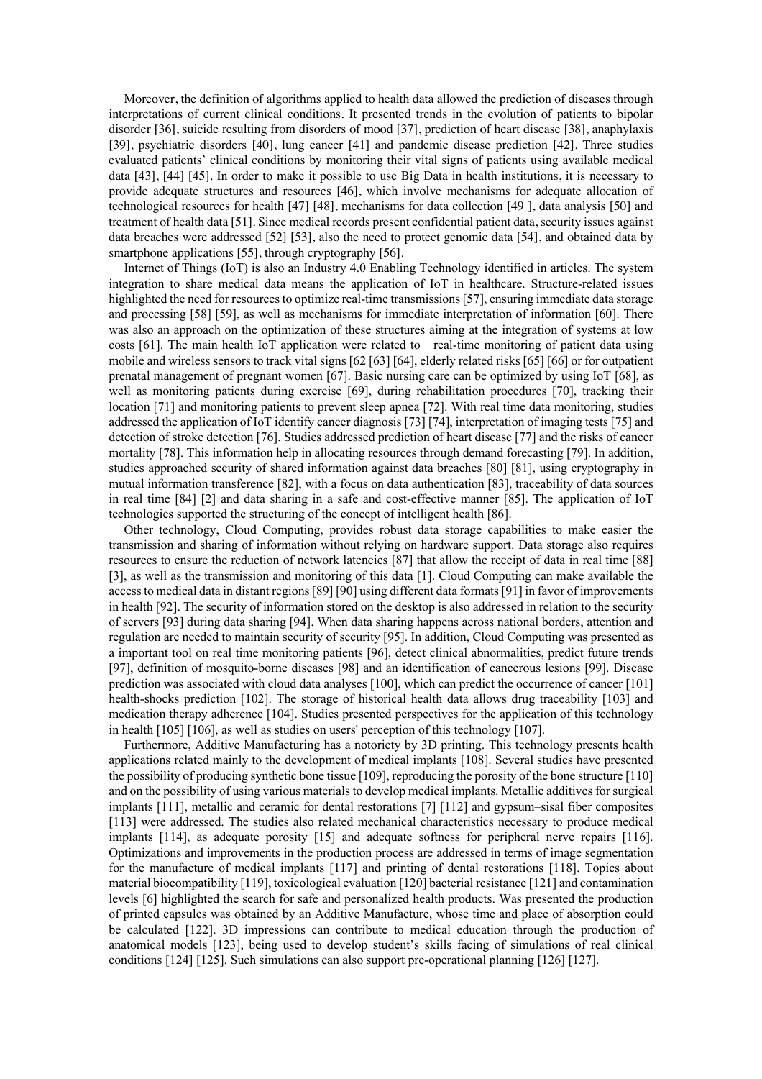Moreover, the definition of algorithms applied to health data allowed the prediction of diseases through interpretations of current clinical conditions. It presented trends in the evolution of patients to bipolar disorder [36], suicide resulting from disorders of mood [37], prediction of heart disease [38], anaphylaxis [39], psychiatric disorders [40], lung cancer [41] and pandemic disease prediction [42]. Three studies evaluated patients' clinical conditions by monitoring their vital signs of patients using available medical data [43], [44] [45]. In order to make it possible to use Big Data in health institutions, it is necessary to provide adequate structures and resources [46], which involve mechanisms for adequate allocation of technological resources for health [47] [48], mechanisms for data collection [49 ], data analysis [50] and treatment of health data [51]. Since medical records present confidential patient data, security issues against data breaches were addressed [52] [53], also the need to protect genomic data [54], and obtained data by smartphone applications [55], through cryptography [56].

Internet of Things (IoT) is also an Industry 4.0 Enabling Technology identified in articles. The system integration to share medical data means the application of IoT in healthcare. Structure-related issues highlighted the need for resources to optimize real-time transmissions [57], ensuring immediate data storage and processing [58] [59], as well as mechanisms for immediate interpretation of information [60]. There was also an approach on the optimization of these structures aiming at the integration of systems at low costs [61]. The main health IoT application were related to real-time monitoring of patient data using mobile and wireless sensors to track vital signs [62 [63] [64], elderly related risks [65] [66] or for outpatient prenatal management of pregnant women [67]. Basic nursing care can be optimized by using IoT [68], as well as monitoring patients during exercise [69], during rehabilitation procedures [70], tracking their location [71] and monitoring patients to prevent sleep apnea [72]. With real time data monitoring, studies addressed the application of IoT identify cancer diagnosis [73] [74], interpretation of imaging tests [75] and detection of stroke detection [76]. Studies addressed prediction of heart disease [77] and the risks of cancer mortality [78]. This information help in allocating resources through demand forecasting [79]. In addition, studies approached security of shared information against data breaches [80] [81], using cryptography in mutual information transference [82], with a focus on data authentication [83], traceability of data sources in real time [84] [2] and data sharing in a safe and cost-effective manner [85]. The application of IoT technologies supported the structuring of the concept of intelligent health [86].

Other technology, Cloud Computing, provides robust data storage capabilities to make easier the transmission and sharing of information without relying on hardware support. Data storage also requires resources to ensure the reduction of network latencies [87] that allow the receipt of data in real time [88] [3], as well as the transmission and monitoring of this data [1]. Cloud Computing can make available the access to medical data in distant regions [89] [90] using different data formats [91] in favor of improvements in health [92]. The security of information stored on the desktop is also addressed in relation to the security of servers [93] during data sharing [94]. When data sharing happens across national borders, attention and regulation are needed to maintain security of security [95]. In addition, Cloud Computing was presented as a important tool on real time monitoring patients [96], detect clinical abnormalities, predict future trends [97], definition of mosquito-borne diseases [98] and an identification of cancerous lesions [99]. Disease prediction was associated with cloud data analyses [100], which can predict the occurrence of cancer [101] health-shocks prediction [102]. The storage of historical health data allows drug traceability [103] and medication therapy adherence [104]. Studies presented perspectives for the application of this technology in health [105] [106], as well as studies on users' perception of this technology [107].

Furthermore, Additive Manufacturing has a notoriety by 3D printing. This technology presents health applications related mainly to the development of medical implants [108]. Several studies have presented the possibility of producing synthetic bone tissue [109], reproducing the porosity of the bone structure [110] and on the possibility of using various materials to develop medical implants. Metallic additives for surgical implants [111], metallic and ceramic for dental restorations [7] [112] and gypsum–sisal fiber composites [113] were addressed. The studies also related mechanical characteristics necessary to produce medical implants [114], as adequate porosity [15] and adequate softness for peripheral nerve repairs [116]. Optimizations and improvements in the production process are addressed in terms of image segmentation for the manufacture of medical implants [117] and printing of dental restorations [118]. Topics about material biocompatibility [119], toxicological evaluation [120] bacterial resistance [121] and contamination levels [6] highlighted the search for safe and personalized health products. Was presented the production of printed capsules was obtained by an Additive Manufacture, whose time and place of absorption could be calculated [122]. 3D impressions can contribute to medical education through the production of anatomical models [123], being used to develop student's skills facing of simulations of real clinical conditions [124] [125]. Such simulations can also support pre-operational planning [126] [127].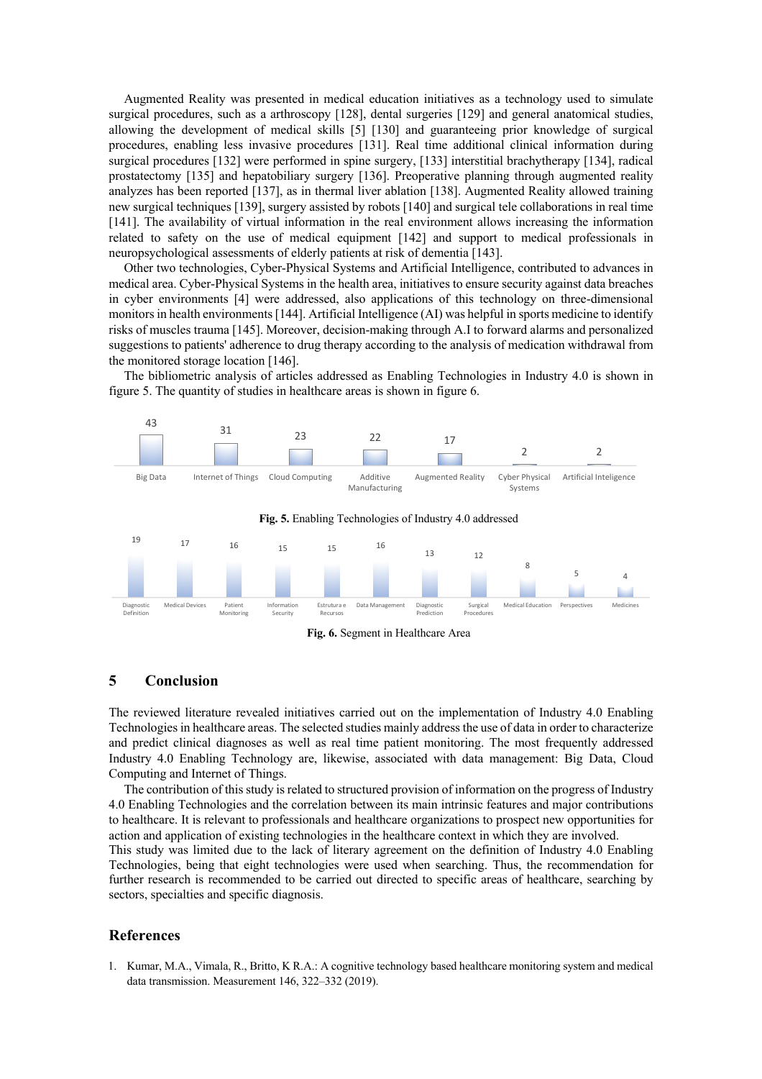Augmented Reality was presented in medical education initiatives as a technology used to simulate surgical procedures, such as a arthroscopy [128], dental surgeries [129] and general anatomical studies, allowing the development of medical skills [5] [130] and guaranteeing prior knowledge of surgical procedures, enabling less invasive procedures [131]. Real time additional clinical information during surgical procedures [132] were performed in spine surgery, [133] interstitial brachytherapy [134], radical prostatectomy [135] and hepatobiliary surgery [136]. Preoperative planning through augmented reality analyzes has been reported [137], as in thermal liver ablation [138]. Augmented Reality allowed training new surgical techniques [139], surgery assisted by robots [140] and surgical tele collaborations in real time [141]. The availability of virtual information in the real environment allows increasing the information related to safety on the use of medical equipment [142] and support to medical professionals in neuropsychological assessments of elderly patients at risk of dementia [143].

Other two technologies, Cyber-Physical Systems and Artificial Intelligence, contributed to advances in medical area. Cyber-Physical Systems in the health area, initiatives to ensure security against data breaches in cyber environments [4] were addressed, also applications of this technology on three-dimensional monitors in health environments [144]. Artificial Intelligence (AI) was helpful in sports medicine to identify risks of muscles trauma [145]. Moreover, decision-making through A.I to forward alarms and personalized suggestions to patients' adherence to drug therapy according to the analysis of medication withdrawal from the monitored storage location [146].

The bibliometric analysis of articles addressed as Enabling Technologies in Industry 4.0 is shown in figure 5. The quantity of studies in healthcare areas is shown in figure 6.



# **5 Conclusion**

The reviewed literature revealed initiatives carried out on the implementation of Industry 4.0 Enabling Technologies in healthcare areas. The selected studies mainly address the use of data in order to characterize and predict clinical diagnoses as well as real time patient monitoring. The most frequently addressed Industry 4.0 Enabling Technology are, likewise, associated with data management: Big Data, Cloud Computing and Internet of Things.

The contribution of this study is related to structured provision of information on the progress of Industry 4.0 Enabling Technologies and the correlation between its main intrinsic features and major contributions to healthcare. It is relevant to professionals and healthcare organizations to prospect new opportunities for action and application of existing technologies in the healthcare context in which they are involved.

This study was limited due to the lack of literary agreement on the definition of Industry 4.0 Enabling Technologies, being that eight technologies were used when searching. Thus, the recommendation for further research is recommended to be carried out directed to specific areas of healthcare, searching by sectors, specialties and specific diagnosis.

## **References**

1. Kumar, M.A., Vimala, R., Britto, K R.A.: A cognitive technology based healthcare monitoring system and medical data transmission. Measurement 146, 322–332 (2019).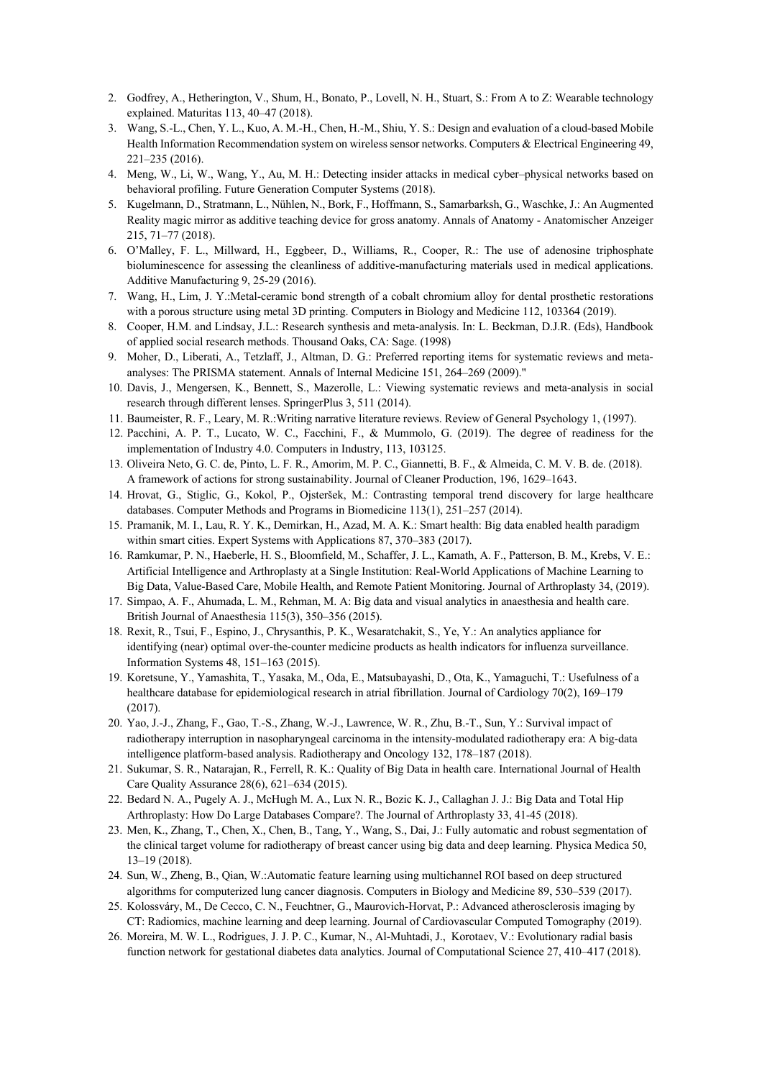- 2. Godfrey, A., Hetherington, V., Shum, H., Bonato, P., Lovell, N. H., Stuart, S.: From A to Z: Wearable technology explained. Maturitas 113, 40–47 (2018).
- 3. Wang, S.-L., Chen, Y. L., Kuo, A. M.-H., Chen, H.-M., Shiu, Y. S.: Design and evaluation of a cloud-based Mobile Health Information Recommendation system on wireless sensor networks. Computers & Electrical Engineering 49, 221–235 (2016).
- 4. Meng, W., Li, W., Wang, Y., Au, M. H.: Detecting insider attacks in medical cyber–physical networks based on behavioral profiling. Future Generation Computer Systems (2018).
- 5. Kugelmann, D., Stratmann, L., Nühlen, N., Bork, F., Hoffmann, S., Samarbarksh, G., Waschke, J.: An Augmented Reality magic mirror as additive teaching device for gross anatomy. Annals of Anatomy - Anatomischer Anzeiger 215, 71–77 (2018).
- 6. O'Malley, F. L., Millward, H., Eggbeer, D., Williams, R., Cooper, R.: The use of adenosine triphosphate bioluminescence for assessing the cleanliness of additive-manufacturing materials used in medical applications. Additive Manufacturing 9, 25-29 (2016).
- 7. Wang, H., Lim, J. Y.:Metal-ceramic bond strength of a cobalt chromium alloy for dental prosthetic restorations with a porous structure using metal 3D printing. Computers in Biology and Medicine 112, 103364 (2019).
- 8. Cooper, H.M. and Lindsay, J.L.: Research synthesis and meta-analysis. In: L. Beckman, D.J.R. (Eds), Handbook of applied social research methods. Thousand Oaks, CA: Sage. (1998)
- 9. Moher, D., Liberati, A., Tetzlaff, J., Altman, D. G.: Preferred reporting items for systematic reviews and metaanalyses: The PRISMA statement. Annals of Internal Medicine 151, 264–269 (2009)."
- 10. Davis, J., Mengersen, K., Bennett, S., Mazerolle, L.: Viewing systematic reviews and meta-analysis in social research through different lenses. SpringerPlus 3, 511 (2014).
- 11. Baumeister, R. F., Leary, M. R.:Writing narrative literature reviews. Review of General Psychology 1, (1997).
- 12. Pacchini, A. P. T., Lucato, W. C., Facchini, F., & Mummolo, G. (2019). The degree of readiness for the implementation of Industry 4.0. Computers in Industry, 113, 103125.
- 13. Oliveira Neto, G. C. de, Pinto, L. F. R., Amorim, M. P. C., Giannetti, B. F., & Almeida, C. M. V. B. de. (2018). A framework of actions for strong sustainability. Journal of Cleaner Production, 196, 1629–1643.
- 14. Hrovat, G., Stiglic, G., Kokol, P., Ojsteršek, M.: Contrasting temporal trend discovery for large healthcare databases. Computer Methods and Programs in Biomedicine 113(1), 251–257 (2014).
- 15. Pramanik, M. I., Lau, R. Y. K., Demirkan, H., Azad, M. A. K.: Smart health: Big data enabled health paradigm within smart cities. Expert Systems with Applications 87, 370–383 (2017).
- 16. Ramkumar, P. N., Haeberle, H. S., Bloomfield, M., Schaffer, J. L., Kamath, A. F., Patterson, B. M., Krebs, V. E.: Artificial Intelligence and Arthroplasty at a Single Institution: Real-World Applications of Machine Learning to Big Data, Value-Based Care, Mobile Health, and Remote Patient Monitoring. Journal of Arthroplasty 34, (2019).
- 17. Simpao, A. F., Ahumada, L. M., Rehman, M. A: Big data and visual analytics in anaesthesia and health care. British Journal of Anaesthesia 115(3), 350–356 (2015).
- 18. Rexit, R., Tsui, F., Espino, J., Chrysanthis, P. K., Wesaratchakit, S., Ye, Y.: An analytics appliance for identifying (near) optimal over-the-counter medicine products as health indicators for influenza surveillance. Information Systems 48, 151–163 (2015).
- 19. Koretsune, Y., Yamashita, T., Yasaka, M., Oda, E., Matsubayashi, D., Ota, K., Yamaguchi, T.: Usefulness of a healthcare database for epidemiological research in atrial fibrillation. Journal of Cardiology 70(2), 169–179 (2017).
- 20. Yao, J.-J., Zhang, F., Gao, T.-S., Zhang, W.-J., Lawrence, W. R., Zhu, B.-T., Sun, Y.: Survival impact of radiotherapy interruption in nasopharyngeal carcinoma in the intensity-modulated radiotherapy era: A big-data intelligence platform-based analysis. Radiotherapy and Oncology 132, 178–187 (2018).
- 21. Sukumar, S. R., Natarajan, R., Ferrell, R. K.: Quality of Big Data in health care. International Journal of Health Care Quality Assurance 28(6), 621–634 (2015).
- 22. Bedard N. A., Pugely A. J., McHugh M. A., Lux N. R., Bozic K. J., Callaghan J. J.: Big Data and Total Hip Arthroplasty: How Do Large Databases Compare?. The Journal of Arthroplasty 33, 41-45 (2018).
- 23. Men, K., Zhang, T., Chen, X., Chen, B., Tang, Y., Wang, S., Dai, J.: Fully automatic and robust segmentation of the clinical target volume for radiotherapy of breast cancer using big data and deep learning. Physica Medica 50, 13–19 (2018).
- 24. Sun, W., Zheng, B., Qian, W.:Automatic feature learning using multichannel ROI based on deep structured algorithms for computerized lung cancer diagnosis. Computers in Biology and Medicine 89, 530–539 (2017).
- 25. Kolossváry, M., De Cecco, C. N., Feuchtner, G., Maurovich-Horvat, P.: Advanced atherosclerosis imaging by CT: Radiomics, machine learning and deep learning. Journal of Cardiovascular Computed Tomography (2019).
- 26. Moreira, M. W. L., Rodrigues, J. J. P. C., Kumar, N., Al-Muhtadi, J., Korotaev, V.: Evolutionary radial basis function network for gestational diabetes data analytics. Journal of Computational Science 27, 410–417 (2018).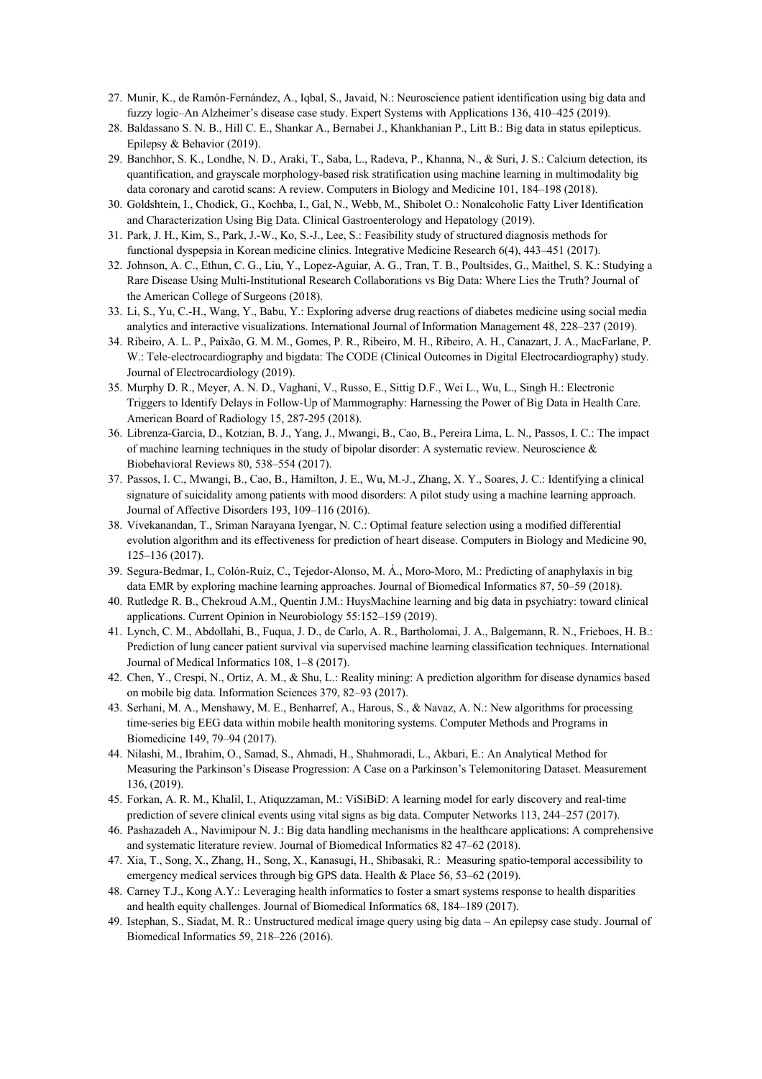- 27. Munir, K., de Ramón-Fernández, A., Iqbal, S., Javaid, N.: Neuroscience patient identification using big data and fuzzy logic–An Alzheimer's disease case study. Expert Systems with Applications 136, 410–425 (2019).
- 28. Baldassano S. N. B., Hill C. E., Shankar A., Bernabei J., Khankhanian P., Litt B.: Big data in status epilepticus. Epilepsy & Behavior (2019).
- 29. Banchhor, S. K., Londhe, N. D., Araki, T., Saba, L., Radeva, P., Khanna, N., & Suri, J. S.: Calcium detection, its quantification, and grayscale morphology-based risk stratification using machine learning in multimodality big data coronary and carotid scans: A review. Computers in Biology and Medicine 101, 184–198 (2018).
- 30. Goldshtein, I., Chodick, G., Kochba, I., Gal, N., Webb, M., Shibolet O.: Nonalcoholic Fatty Liver Identification and Characterization Using Big Data. Clinical Gastroenterology and Hepatology (2019).
- 31. Park, J. H., Kim, S., Park, J.-W., Ko, S.-J., Lee, S.: Feasibility study of structured diagnosis methods for functional dyspepsia in Korean medicine clinics. Integrative Medicine Research 6(4), 443–451 (2017).
- 32. Johnson, A. C., Ethun, C. G., Liu, Y., Lopez-Aguiar, A. G., Tran, T. B., Poultsides, G., Maithel, S. K.: Studying a Rare Disease Using Multi-Institutional Research Collaborations vs Big Data: Where Lies the Truth? Journal of the American College of Surgeons (2018).
- 33. Li, S., Yu, C.-H., Wang, Y., Babu, Y.: Exploring adverse drug reactions of diabetes medicine using social media analytics and interactive visualizations. International Journal of Information Management 48, 228–237 (2019).
- 34. Ribeiro, A. L. P., Paixão, G. M. M., Gomes, P. R., Ribeiro, M. H., Ribeiro, A. H., Canazart, J. A., MacFarlane, P. W.: Tele-electrocardiography and bigdata: The CODE (Clinical Outcomes in Digital Electrocardiography) study. Journal of Electrocardiology (2019).
- 35. Murphy D. R., Meyer, A. N. D., Vaghani, V., Russo, E., Sittig D.F., Wei L., Wu, L., Singh H.: Electronic Triggers to Identify Delays in Follow-Up of Mammography: Harnessing the Power of Big Data in Health Care. American Board of Radiology 15, 287-295 (2018).
- 36. Librenza-Garcia, D., Kotzian, B. J., Yang, J., Mwangi, B., Cao, B., Pereira Lima, L. N., Passos, I. C.: The impact of machine learning techniques in the study of bipolar disorder: A systematic review. Neuroscience & Biobehavioral Reviews 80, 538–554 (2017).
- 37. Passos, I. C., Mwangi, B., Cao, B., Hamilton, J. E., Wu, M.-J., Zhang, X. Y., Soares, J. C.: Identifying a clinical signature of suicidality among patients with mood disorders: A pilot study using a machine learning approach. Journal of Affective Disorders 193, 109–116 (2016).
- 38. Vivekanandan, T., Sriman Narayana Iyengar, N. C.: Optimal feature selection using a modified differential evolution algorithm and its effectiveness for prediction of heart disease. Computers in Biology and Medicine 90, 125–136 (2017).
- 39. Segura-Bedmar, I., Colón-Ruíz, C., Tejedor-Alonso, M. Á., Moro-Moro, M.: Predicting of anaphylaxis in big data EMR by exploring machine learning approaches. Journal of Biomedical Informatics 87, 50–59 (2018).
- 40. Rutledge R. B., Chekroud A.M., Quentin J.M.: HuysMachine learning and big data in psychiatry: toward clinical applications. Current Opinion in Neurobiology 55:152–159 (2019).
- 41. Lynch, C. M., Abdollahi, B., Fuqua, J. D., de Carlo, A. R., Bartholomai, J. A., Balgemann, R. N., Frieboes, H. B.: Prediction of lung cancer patient survival via supervised machine learning classification techniques. International Journal of Medical Informatics 108, 1–8 (2017).
- 42. Chen, Y., Crespi, N., Ortiz, A. M., & Shu, L.: Reality mining: A prediction algorithm for disease dynamics based on mobile big data. Information Sciences 379, 82–93 (2017).
- 43. Serhani, M. A., Menshawy, M. E., Benharref, A., Harous, S., & Navaz, A. N.: New algorithms for processing time-series big EEG data within mobile health monitoring systems. Computer Methods and Programs in Biomedicine 149, 79–94 (2017).
- 44. Nilashi, M., Ibrahim, O., Samad, S., Ahmadi, H., Shahmoradi, L., Akbari, E.: An Analytical Method for Measuring the Parkinson's Disease Progression: A Case on a Parkinson's Telemonitoring Dataset. Measurement 136, (2019).
- 45. Forkan, A. R. M., Khalil, I., Atiquzzaman, M.: ViSiBiD: A learning model for early discovery and real-time prediction of severe clinical events using vital signs as big data. Computer Networks 113, 244–257 (2017).
- 46. Pashazadeh A., Navimipour N. J.: Big data handling mechanisms in the healthcare applications: A comprehensive and systematic literature review. Journal of Biomedical Informatics 82 47–62 (2018).
- 47. Xia, T., Song, X., Zhang, H., Song, X., Kanasugi, H., Shibasaki, R.: Measuring spatio-temporal accessibility to emergency medical services through big GPS data. Health & Place 56, 53–62 (2019).
- 48. Carney T.J., Kong A.Y.: Leveraging health informatics to foster a smart systems response to health disparities and health equity challenges. Journal of Biomedical Informatics 68, 184–189 (2017).
- 49. Istephan, S., Siadat, M. R.: Unstructured medical image query using big data An epilepsy case study. Journal of Biomedical Informatics 59, 218–226 (2016).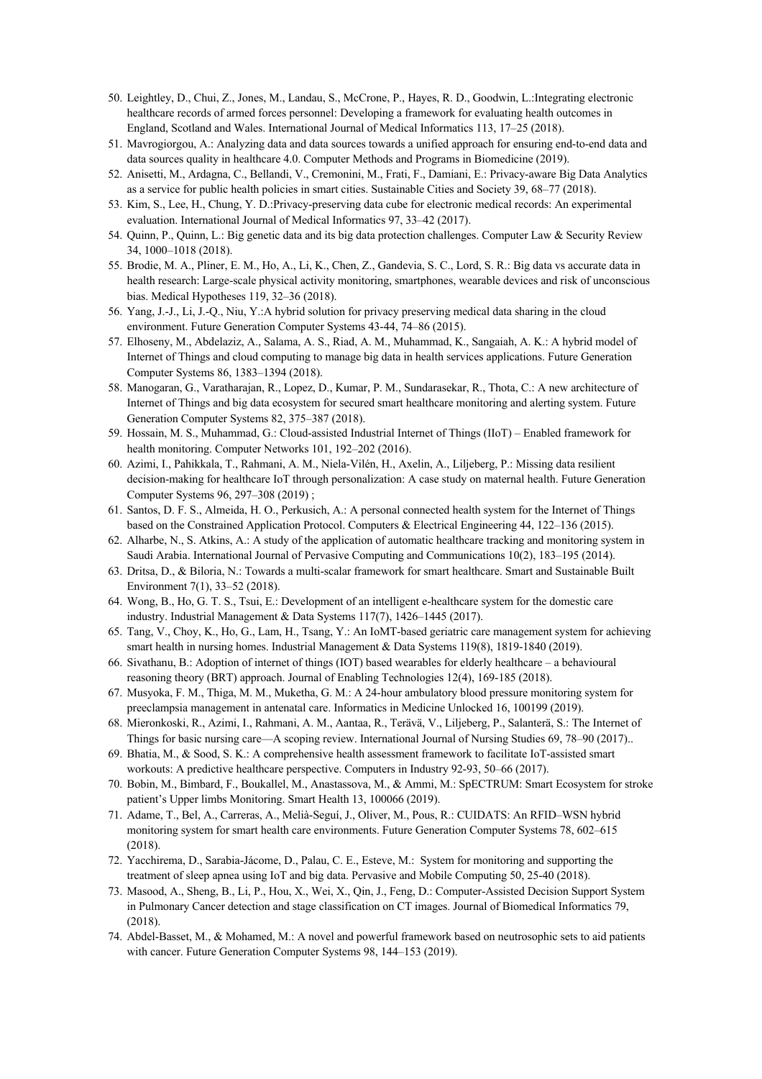- 50. Leightley, D., Chui, Z., Jones, M., Landau, S., McCrone, P., Hayes, R. D., Goodwin, L.:Integrating electronic healthcare records of armed forces personnel: Developing a framework for evaluating health outcomes in England, Scotland and Wales. International Journal of Medical Informatics 113, 17–25 (2018).
- 51. Mavrogiorgou, A.: Analyzing data and data sources towards a unified approach for ensuring end-to-end data and data sources quality in healthcare 4.0. Computer Methods and Programs in Biomedicine (2019).
- 52. Anisetti, M., Ardagna, C., Bellandi, V., Cremonini, M., Frati, F., Damiani, E.: Privacy-aware Big Data Analytics as a service for public health policies in smart cities. Sustainable Cities and Society 39, 68–77 (2018).
- 53. Kim, S., Lee, H., Chung, Y. D.:Privacy-preserving data cube for electronic medical records: An experimental evaluation. International Journal of Medical Informatics 97, 33–42 (2017).
- 54. Quinn, P., Quinn, L.: Big genetic data and its big data protection challenges. Computer Law & Security Review 34, 1000–1018 (2018).
- 55. Brodie, M. A., Pliner, E. M., Ho, A., Li, K., Chen, Z., Gandevia, S. C., Lord, S. R.: Big data vs accurate data in health research: Large-scale physical activity monitoring, smartphones, wearable devices and risk of unconscious bias. Medical Hypotheses 119, 32–36 (2018).
- 56. Yang, J.-J., Li, J.-Q., Niu, Y.:A hybrid solution for privacy preserving medical data sharing in the cloud environment. Future Generation Computer Systems 43-44, 74–86 (2015).
- 57. Elhoseny, M., Abdelaziz, A., Salama, A. S., Riad, A. M., Muhammad, K., Sangaiah, A. K.: A hybrid model of Internet of Things and cloud computing to manage big data in health services applications. Future Generation Computer Systems 86, 1383–1394 (2018).
- 58. Manogaran, G., Varatharajan, R., Lopez, D., Kumar, P. M., Sundarasekar, R., Thota, C.: A new architecture of Internet of Things and big data ecosystem for secured smart healthcare monitoring and alerting system. Future Generation Computer Systems 82, 375–387 (2018).
- 59. Hossain, M. S., Muhammad, G.: Cloud-assisted Industrial Internet of Things (IIoT) Enabled framework for health monitoring. Computer Networks 101, 192–202 (2016).
- 60. Azimi, I., Pahikkala, T., Rahmani, A. M., Niela-Vilén, H., Axelin, A., Liljeberg, P.: Missing data resilient decision-making for healthcare IoT through personalization: A case study on maternal health. Future Generation Computer Systems 96, 297–308 (2019) ;
- 61. Santos, D. F. S., Almeida, H. O., Perkusich, A.: A personal connected health system for the Internet of Things based on the Constrained Application Protocol. Computers & Electrical Engineering 44, 122–136 (2015).
- 62. Alharbe, N., S. Atkins, A.: A study of the application of automatic healthcare tracking and monitoring system in Saudi Arabia. International Journal of Pervasive Computing and Communications 10(2), 183–195 (2014).
- 63. Dritsa, D., & Biloria, N.: Towards a multi-scalar framework for smart healthcare. Smart and Sustainable Built Environment 7(1), 33–52 (2018).
- 64. Wong, B., Ho, G. T. S., Tsui, E.: Development of an intelligent e-healthcare system for the domestic care industry. Industrial Management & Data Systems 117(7), 1426–1445 (2017).
- 65. Tang, V., Choy, K., Ho, G., Lam, H., Tsang, Y.: An IoMT-based geriatric care management system for achieving smart health in nursing homes. Industrial Management & Data Systems 119(8), 1819-1840 (2019).
- 66. Sivathanu, B.: Adoption of internet of things (IOT) based wearables for elderly healthcare a behavioural reasoning theory (BRT) approach. Journal of Enabling Technologies 12(4), 169-185 (2018).
- 67. Musyoka, F. M., Thiga, M. M., Muketha, G. M.: A 24-hour ambulatory blood pressure monitoring system for preeclampsia management in antenatal care. Informatics in Medicine Unlocked 16, 100199 (2019).
- 68. Mieronkoski, R., Azimi, I., Rahmani, A. M., Aantaa, R., Terävä, V., Liljeberg, P., Salanterä, S.: The Internet of Things for basic nursing care—A scoping review. International Journal of Nursing Studies 69, 78–90 (2017)..
- 69. Bhatia, M., & Sood, S. K.: A comprehensive health assessment framework to facilitate IoT-assisted smart workouts: A predictive healthcare perspective. Computers in Industry 92-93, 50–66 (2017).
- 70. Bobin, M., Bimbard, F., Boukallel, M., Anastassova, M., & Ammi, M.: SpECTRUM: Smart Ecosystem for stroke patient's Upper limbs Monitoring. Smart Health 13, 100066 (2019).
- 71. Adame, T., Bel, A., Carreras, A., Melià-Seguí, J., Oliver, M., Pous, R.: CUIDATS: An RFID–WSN hybrid monitoring system for smart health care environments. Future Generation Computer Systems 78, 602–615 (2018).
- 72. Yacchirema, D., Sarabia-Jácome, D., Palau, C. E., Esteve, M.: System for monitoring and supporting the treatment of sleep apnea using IoT and big data. Pervasive and Mobile Computing 50, 25-40 (2018).
- 73. Masood, A., Sheng, B., Li, P., Hou, X., Wei, X., Qin, J., Feng, D.: Computer-Assisted Decision Support System in Pulmonary Cancer detection and stage classification on CT images. Journal of Biomedical Informatics 79, (2018).
- 74. Abdel-Basset, M., & Mohamed, M.: A novel and powerful framework based on neutrosophic sets to aid patients with cancer. Future Generation Computer Systems 98, 144–153 (2019).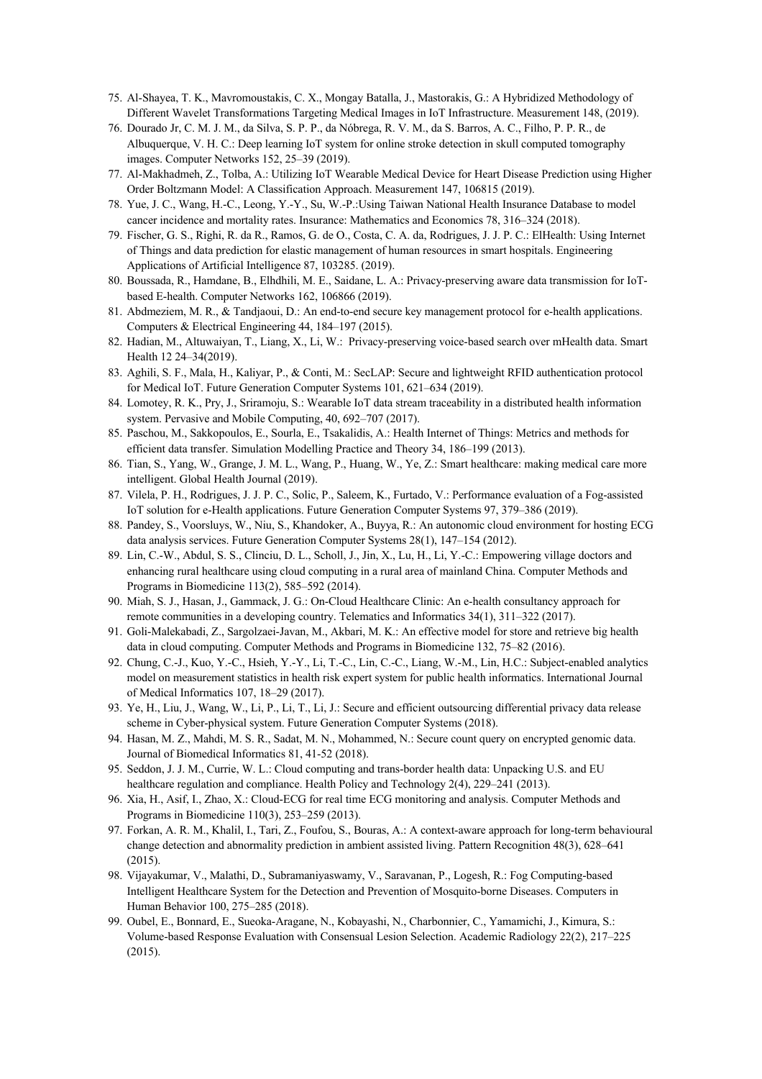- 75. Al-Shayea, T. K., Mavromoustakis, C. X., Mongay Batalla, J., Mastorakis, G.: A Hybridized Methodology of Different Wavelet Transformations Targeting Medical Images in IoT Infrastructure. Measurement 148, (2019).
- 76. Dourado Jr, C. M. J. M., da Silva, S. P. P., da Nóbrega, R. V. M., da S. Barros, A. C., Filho, P. P. R., de Albuquerque, V. H. C.: Deep learning IoT system for online stroke detection in skull computed tomography images. Computer Networks 152, 25–39 (2019).
- 77. Al-Makhadmeh, Z., Tolba, A.: Utilizing IoT Wearable Medical Device for Heart Disease Prediction using Higher Order Boltzmann Model: A Classification Approach. Measurement 147, 106815 (2019).
- 78. Yue, J. C., Wang, H.-C., Leong, Y.-Y., Su, W.-P.:Using Taiwan National Health Insurance Database to model cancer incidence and mortality rates. Insurance: Mathematics and Economics 78, 316–324 (2018).
- 79. Fischer, G. S., Righi, R. da R., Ramos, G. de O., Costa, C. A. da, Rodrigues, J. J. P. C.: ElHealth: Using Internet of Things and data prediction for elastic management of human resources in smart hospitals. Engineering Applications of Artificial Intelligence 87, 103285. (2019).
- 80. Boussada, R., Hamdane, B., Elhdhili, M. E., Saidane, L. A.: Privacy-preserving aware data transmission for IoTbased E-health. Computer Networks 162, 106866 (2019).
- 81. Abdmeziem, M. R., & Tandjaoui, D.: An end-to-end secure key management protocol for e-health applications. Computers & Electrical Engineering 44, 184–197 (2015).
- 82. Hadian, M., Altuwaiyan, T., Liang, X., Li, W.: Privacy-preserving voice-based search over mHealth data. Smart Health 12 24–34(2019).
- 83. Aghili, S. F., Mala, H., Kaliyar, P., & Conti, M.: SecLAP: Secure and lightweight RFID authentication protocol for Medical IoT. Future Generation Computer Systems 101, 621–634 (2019).
- 84. Lomotey, R. K., Pry, J., Sriramoju, S.: Wearable IoT data stream traceability in a distributed health information system. Pervasive and Mobile Computing, 40, 692–707 (2017).
- 85. Paschou, M., Sakkopoulos, E., Sourla, E., Tsakalidis, A.: Health Internet of Things: Metrics and methods for efficient data transfer. Simulation Modelling Practice and Theory 34, 186–199 (2013).
- 86. Tian, S., Yang, W., Grange, J. M. L., Wang, P., Huang, W., Ye, Z.: Smart healthcare: making medical care more intelligent. Global Health Journal (2019).
- 87. Vilela, P. H., Rodrigues, J. J. P. C., Solic, P., Saleem, K., Furtado, V.: Performance evaluation of a Fog-assisted IoT solution for e-Health applications. Future Generation Computer Systems 97, 379–386 (2019).
- 88. Pandey, S., Voorsluys, W., Niu, S., Khandoker, A., Buyya, R.: An autonomic cloud environment for hosting ECG data analysis services. Future Generation Computer Systems 28(1), 147–154 (2012).
- 89. Lin, C.-W., Abdul, S. S., Clinciu, D. L., Scholl, J., Jin, X., Lu, H., Li, Y.-C.: Empowering village doctors and enhancing rural healthcare using cloud computing in a rural area of mainland China. Computer Methods and Programs in Biomedicine 113(2), 585–592 (2014).
- 90. Miah, S. J., Hasan, J., Gammack, J. G.: On-Cloud Healthcare Clinic: An e-health consultancy approach for remote communities in a developing country. Telematics and Informatics 34(1), 311–322 (2017).
- 91. Goli-Malekabadi, Z., Sargolzaei-Javan, M., Akbari, M. K.: An effective model for store and retrieve big health data in cloud computing. Computer Methods and Programs in Biomedicine 132, 75–82 (2016).
- 92. Chung, C.-J., Kuo, Y.-C., Hsieh, Y.-Y., Li, T.-C., Lin, C.-C., Liang, W.-M., Lin, H.C.: Subject-enabled analytics model on measurement statistics in health risk expert system for public health informatics. International Journal of Medical Informatics 107, 18–29 (2017).
- 93. Ye, H., Liu, J., Wang, W., Li, P., Li, T., Li, J.: Secure and efficient outsourcing differential privacy data release scheme in Cyber-physical system. Future Generation Computer Systems (2018).
- 94. Hasan, M. Z., Mahdi, M. S. R., Sadat, M. N., Mohammed, N.: Secure count query on encrypted genomic data. Journal of Biomedical Informatics 81, 41-52 (2018).
- 95. Seddon, J. J. M., Currie, W. L.: Cloud computing and trans-border health data: Unpacking U.S. and EU healthcare regulation and compliance. Health Policy and Technology 2(4), 229–241 (2013).
- 96. Xia, H., Asif, I., Zhao, X.: Cloud-ECG for real time ECG monitoring and analysis. Computer Methods and Programs in Biomedicine 110(3), 253–259 (2013).
- 97. Forkan, A. R. M., Khalil, I., Tari, Z., Foufou, S., Bouras, A.: A context-aware approach for long-term behavioural change detection and abnormality prediction in ambient assisted living. Pattern Recognition 48(3), 628–641 (2015).
- 98. Vijayakumar, V., Malathi, D., Subramaniyaswamy, V., Saravanan, P., Logesh, R.: Fog Computing-based Intelligent Healthcare System for the Detection and Prevention of Mosquito-borne Diseases. Computers in Human Behavior 100, 275–285 (2018).
- 99. Oubel, E., Bonnard, E., Sueoka-Aragane, N., Kobayashi, N., Charbonnier, C., Yamamichi, J., Kimura, S.: Volume-based Response Evaluation with Consensual Lesion Selection. Academic Radiology 22(2), 217–225 (2015).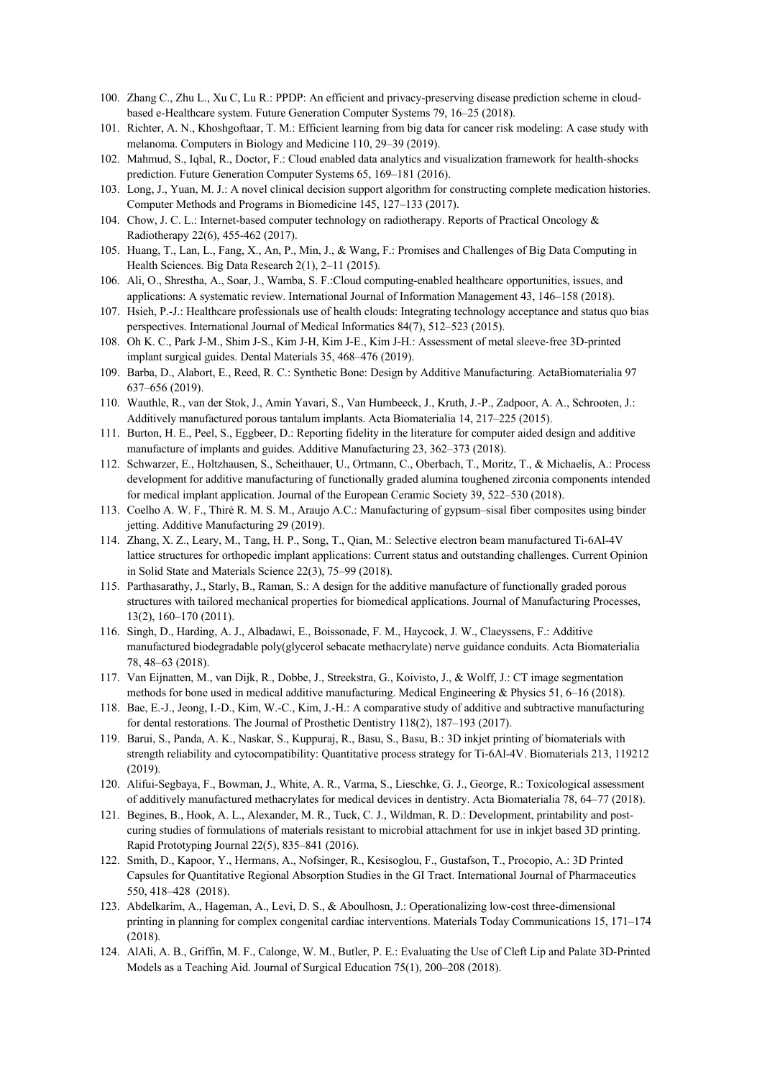- 100. Zhang C., Zhu L., Xu C, Lu R.: PPDP: An efficient and privacy-preserving disease prediction scheme in cloudbased e-Healthcare system. Future Generation Computer Systems 79, 16–25 (2018).
- 101. Richter, A. N., Khoshgoftaar, T. M.: Efficient learning from big data for cancer risk modeling: A case study with melanoma. Computers in Biology and Medicine 110, 29–39 (2019).
- 102. Mahmud, S., Iqbal, R., Doctor, F.: Cloud enabled data analytics and visualization framework for health-shocks prediction. Future Generation Computer Systems 65, 169–181 (2016).
- 103. Long, J., Yuan, M. J.: A novel clinical decision support algorithm for constructing complete medication histories. Computer Methods and Programs in Biomedicine 145, 127–133 (2017).
- 104. Chow, J. C. L.: Internet-based computer technology on radiotherapy. Reports of Practical Oncology & Radiotherapy 22(6), 455-462 (2017).
- 105. Huang, T., Lan, L., Fang, X., An, P., Min, J., & Wang, F.: Promises and Challenges of Big Data Computing in Health Sciences. Big Data Research 2(1), 2–11 (2015).
- 106. Ali, O., Shrestha, A., Soar, J., Wamba, S. F.:Cloud computing-enabled healthcare opportunities, issues, and applications: A systematic review. International Journal of Information Management 43, 146–158 (2018).
- 107. Hsieh, P.-J.: Healthcare professionals use of health clouds: Integrating technology acceptance and status quo bias perspectives. International Journal of Medical Informatics 84(7), 512–523 (2015).
- 108. Oh K. C., Park J-M., Shim J-S., Kim J-H, Kim J-E., Kim J-H.: Assessment of metal sleeve-free 3D-printed implant surgical guides. Dental Materials 35, 468–476 (2019).
- 109. Barba, D., Alabort, E., Reed, R. C.: Synthetic Bone: Design by Additive Manufacturing. ActaBiomaterialia 97 637–656 (2019).
- 110. Wauthle, R., van der Stok, J., Amin Yavari, S., Van Humbeeck, J., Kruth, J.-P., Zadpoor, A. A., Schrooten, J.: Additively manufactured porous tantalum implants. Acta Biomaterialia 14, 217–225 (2015).
- 111. Burton, H. E., Peel, S., Eggbeer, D.: Reporting fidelity in the literature for computer aided design and additive manufacture of implants and guides. Additive Manufacturing 23, 362–373 (2018).
- 112. Schwarzer, E., Holtzhausen, S., Scheithauer, U., Ortmann, C., Oberbach, T., Moritz, T., & Michaelis, A.: Process development for additive manufacturing of functionally graded alumina toughened zirconia components intended for medical implant application. Journal of the European Ceramic Society 39, 522–530 (2018).
- 113. Coelho A. W. F., Thiré R. M. S. M., Araujo A.C.: Manufacturing of gypsum–sisal fiber composites using binder jetting. Additive Manufacturing 29 (2019).
- 114. Zhang, X. Z., Leary, M., Tang, H. P., Song, T., Qian, M.: Selective electron beam manufactured Ti-6Al-4V lattice structures for orthopedic implant applications: Current status and outstanding challenges. Current Opinion in Solid State and Materials Science 22(3), 75–99 (2018).
- 115. Parthasarathy, J., Starly, B., Raman, S.: A design for the additive manufacture of functionally graded porous structures with tailored mechanical properties for biomedical applications. Journal of Manufacturing Processes, 13(2), 160–170 (2011).
- 116. Singh, D., Harding, A. J., Albadawi, E., Boissonade, F. M., Haycock, J. W., Claeyssens, F.: Additive manufactured biodegradable poly(glycerol sebacate methacrylate) nerve guidance conduits. Acta Biomaterialia 78, 48–63 (2018).
- 117. Van Eijnatten, M., van Dijk, R., Dobbe, J., Streekstra, G., Koivisto, J., & Wolff, J.: CT image segmentation methods for bone used in medical additive manufacturing. Medical Engineering & Physics 51, 6–16 (2018).
- 118. Bae, E.-J., Jeong, I.-D., Kim, W.-C., Kim, J.-H.: A comparative study of additive and subtractive manufacturing for dental restorations. The Journal of Prosthetic Dentistry 118(2), 187–193 (2017).
- 119. Barui, S., Panda, A. K., Naskar, S., Kuppuraj, R., Basu, S., Basu, B.: 3D inkjet printing of biomaterials with strength reliability and cytocompatibility: Quantitative process strategy for Ti-6Al-4V. Biomaterials 213, 119212 (2019).
- 120. Alifui-Segbaya, F., Bowman, J., White, A. R., Varma, S., Lieschke, G. J., George, R.: Toxicological assessment of additively manufactured methacrylates for medical devices in dentistry. Acta Biomaterialia 78, 64–77 (2018).
- 121. Begines, B., Hook, A. L., Alexander, M. R., Tuck, C. J., Wildman, R. D.: Development, printability and postcuring studies of formulations of materials resistant to microbial attachment for use in inkjet based 3D printing. Rapid Prototyping Journal 22(5), 835–841 (2016).
- 122. Smith, D., Kapoor, Y., Hermans, A., Nofsinger, R., Kesisoglou, F., Gustafson, T., Procopio, A.: 3D Printed Capsules for Quantitative Regional Absorption Studies in the GI Tract. International Journal of Pharmaceutics 550, 418–428 (2018).
- 123. Abdelkarim, A., Hageman, A., Levi, D. S., & Aboulhosn, J.: Operationalizing low-cost three-dimensional printing in planning for complex congenital cardiac interventions. Materials Today Communications 15, 171–174 (2018).
- 124. AlAli, A. B., Griffin, M. F., Calonge, W. M., Butler, P. E.: Evaluating the Use of Cleft Lip and Palate 3D-Printed Models as a Teaching Aid. Journal of Surgical Education 75(1), 200–208 (2018).